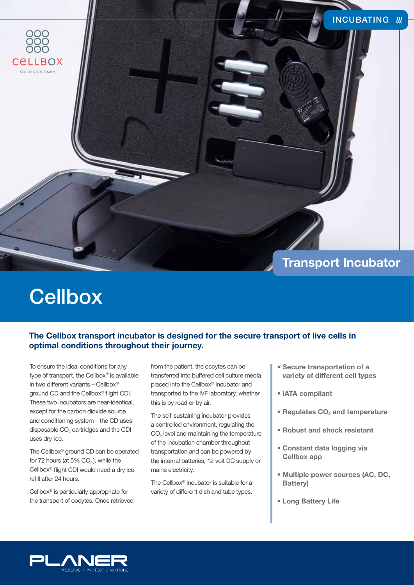

# **Cellbox**

### **The Cellbox transport incubator is designed for the secure transport of live cells in optimal conditions throughout their journey.**

To ensure the ideal conditions for any type of transport, the Cellbox® is available in two different variants – Cellbox® ground CD and the Cellbox® flight CDI. These two incubators are near-identical, except for the carbon dioxide source and conditioning system – the CD uses disposable CO<sub>2</sub> cartridges and the CDI uses dry-ice.

The Cellbox® ground CD can be operated for 72 hours (at 5%  $CO<sub>2</sub>$ ), while the Cellbox® flight CDI would need a dry ice refill after 24 hours.

Cellbox® is particularly appropriate for the transport of oocytes. Once retrieved from the patient, the occytes can be transferred into buffered cell culture media, placed into the Cellbox® incubator and transported to the IVF laboratory, whether this is by road or by air.

The self-sustaining incubator provides a controlled environment, regulating the  $CO<sub>2</sub>$  level and maintaining the temperature of the incubation chamber throughout transportation and can be powered by the internal batteries, 12 volt DC supply or mains electricity.

The Cellbox® incubator is suitable for a variety of different dish and tube types.

- **Secure transportation of a variety of different cell types**
- **IATA compliant**
- **Regulates CO<sub>2</sub> and temperature**
- **Robust and shock resistant**
- **Constant data logging via Cellbox app**
- **Multiple power sources (AC, DC, Battery)**
- **Long Battery Life**